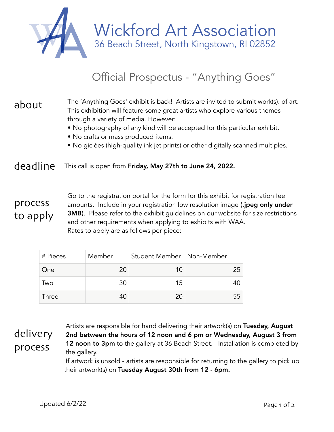

Wickford Art Association<br>36 Beach Street, North Kingstown, RI 02852

## Official Prospectus - "Anything Goes"

## The 'Anything Goes' exhibit is back! Artists are invited to submit work(s). of art. This exhibition will feature some great artists who explore various themes through a variety of media. However: about

- No photography of any kind will be accepted for this particular exhibit.
- No crafts or mass produced items.
- No giclées (high-quality ink jet prints) or other digitally scanned multiples.

## deadline This call is open from Friday, May 27th to June 24, 2022.

## process to apply

Go to the registration portal for the form for this exhibit for registration fee amounts. Include in your registration low resolution image (.jpeg only under **3MB)**. Please refer to the exhibit guidelines on our website for size restrictions and other requirements when applying to exhibits with WAA. Rates to apply are as follows per piece:

| # Pieces | Member | Student Member   Non-Member |    |
|----------|--------|-----------------------------|----|
| One      | 20     | 10                          | 25 |
| Two      | 30     | 15                          |    |
| Three    | 40     | 20                          | 55 |

Artists are responsible for hand delivering their artwork(s) on Tuesday, August 2nd between the hours of 12 noon and 6 pm or Wednesday, August 3 from **12 noon to 3pm** to the gallery at 36 Beach Street. Installation is completed by the gallery. delivery process

If artwork is unsold - artists are responsible for returning to the gallery to pick up their artwork(s) on Tuesday August 30th from 12 - 6pm.